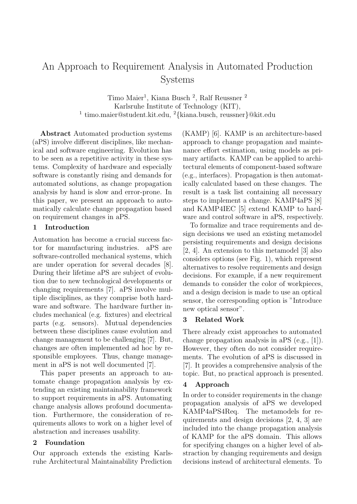# An Approach to Requirement Analysis in Automated Production Systems

Timo Maier<sup>1</sup>, Kiana Busch<sup>2</sup>, Ralf Reussner<sup>2</sup> Karlsruhe Institute of Technology (KIT), 1 timo.maier@student.kit.edu, <sup>2</sup>{kiana.busch, reussner}@kit.edu

Abstract Automated production systems (aPS) involve different disciplines, like mechanical and software engineering. Evolution has to be seen as a repetitive activity in these systems. Complexity of hardware and especially software is constantly rising and demands for automated solutions, as change propagation analysis by hand is slow and error-prone. In this paper, we present an approach to automatically calculate change propagation based on requirement changes in aPS.

## 1 Introduction

Automation has become a crucial success factor for manufacturing industries. aPS are software-controlled mechanical systems, which are under operation for several decades [8]. During their lifetime aPS are subject of evolution due to new technological developments or changing requirements [7]. aPS involve multiple disciplines, as they comprise both hardware and software. The hardware further includes mechanical (e.g. fixtures) and electrical parts (e.g. sensors). Mutual dependencies between these disciplines cause evolution and change management to be challenging [7]. But, changes are often implemented ad hoc by responsible employees. Thus, change management in aPS is not well documented [7].

This paper presents an approach to automate change propagation analysis by extending an existing maintainability framework to support requirements in aPS. Automating change analysis allows profound documentation. Furthermore, the consideration of requirements allows to work on a higher level of abstraction and increases usability.

#### 2 Foundation

Our approach extends the existing Karlsruhe Architectural Maintainability Prediction

(KAMP) [6]. KAMP is an architecture-based approach to change propagation and maintenance effort estimation, using models as primary artifacts. KAMP can be applied to architectural elements of component-based software (e.g., interfaces). Propagation is then automatically calculated based on these changes. The result is a task list containing all necessary steps to implement a change. KAMP4aPS [8] and KAMP4IEC [5] extend KAMP to hardware and control software in aPS, respectively.

To formalize and trace requirements and design decisions we used an existing metamodel persisting requirements and design decisions [2, 4]. An extension to this metamodel [3] also considers options (see Fig. 1), which represent alternatives to resolve requirements and design decisions. For example, if a new requirement demands to consider the color of workpieces, and a design decision is made to use an optical sensor, the corresponding option is "Introduce new optical sensor".

#### 3 Related Work

There already exist approaches to automated change propagation analysis in aPS (e.g., [1]). However, they often do not consider requirements. The evolution of aPS is discussed in [7]. It provides a comprehensive analysis of the topic. But, no practical approach is presented.

#### 4 Approach

In order to consider requirements in the change propagation analysis of aPS we developed KAMP4aPS4Req. The metamodels for requirements and design decisions [2, 4, 3] are included into the change propagation analysis of KAMP for the aPS domain. This allows for specifying changes on a higher level of abstraction by changing requirements and design decisions instead of architectural elements. To